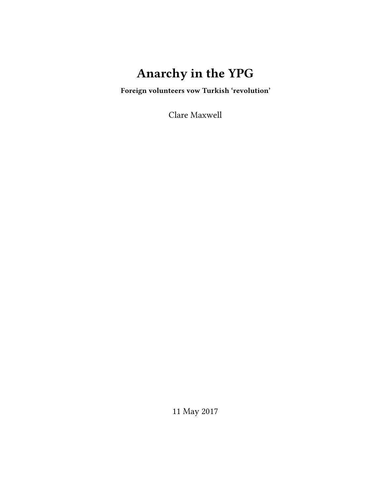# **Anarchy in the YPG**

**Foreign volunteers vow Turkish 'revolution'**

Clare Maxwell

11 May 2017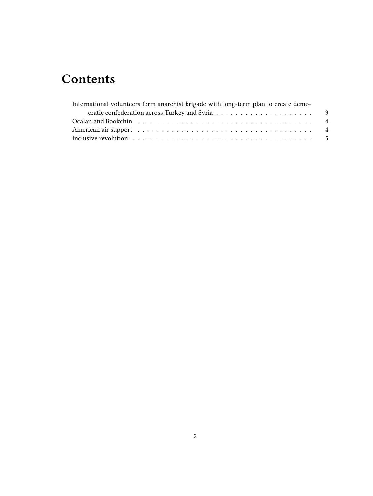## **Contents**

| International volunteers form anarchist brigade with long-term plan to create demo-                                                                                                                                            |  |
|--------------------------------------------------------------------------------------------------------------------------------------------------------------------------------------------------------------------------------|--|
|                                                                                                                                                                                                                                |  |
| Ocalan and Bookchin (a) respectively. The contract of the contract of the contract of the contract of the contract of the contract of the contract of the contract of the contract of the contract of the contract of the cont |  |
| American air support (and all and all and all and all and all and all and all and all and all and all and all and all and all and all and all and all and all and all and all and all and all and all and all and all and all  |  |
|                                                                                                                                                                                                                                |  |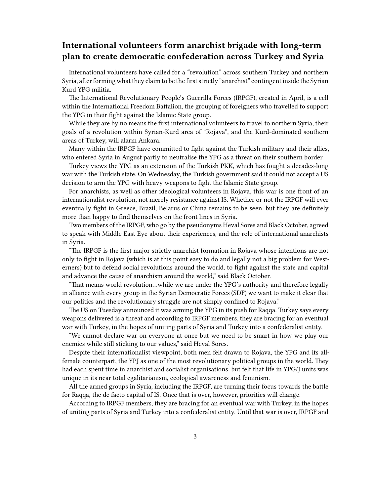### <span id="page-2-0"></span>**International volunteers form anarchist brigade with long-term plan to create democratic confederation across Turkey and Syria**

International volunteers have called for a "revolution" across southern Turkey and northern Syria, after forming what they claim to be the first strictly "anarchist" contingent inside the Syrian Kurd YPG militia.

The International Revolutionary People's Guerrilla Forces (IRPGF), created in April, is a cell within the International Freedom Battalion, the grouping of foreigners who travelled to support the YPG in their fight against the Islamic State group.

While they are by no means the first international volunteers to travel to northern Syria, their goals of a revolution within Syrian-Kurd area of "Rojava", and the Kurd-dominated southern areas of Turkey, will alarm Ankara.

Many within the IRPGF have committed to fight against the Turkish military and their allies, who entered Syria in August partly to neutralise the YPG as a threat on their southern border.

Turkey views the YPG as an extension of the Turkish PKK, which has fought a decades-long war with the Turkish state. On Wednesday, the Turkish government said it could not accept a US decision to arm the YPG with heavy weapons to fight the Islamic State group.

For anarchists, as well as other ideological volunteers in Rojava, this war is one front of an internationalist revolution, not merely resistance against IS. Whether or not the IRPGF will ever eventually fight in Greece, Brazil, Belarus or China remains to be seen, but they are definitely more than happy to find themselves on the front lines in Syria.

Two members of the IRPGF, who go by the pseudonyms Heval Sores and Black October, agreed to speak with Middle East Eye about their experiences, and the role of international anarchists in Syria.

"The IRPGF is the first major strictly anarchist formation in Rojava whose intentions are not only to fight in Rojava (which is at this point easy to do and legally not a big problem for Westerners) but to defend social revolutions around the world, to fight against the state and capital and advance the cause of anarchism around the world," said Black October.

"That means world revolution…while we are under the YPG's authority and therefore legally in alliance with every group in the Syrian Democratic Forces (SDF) we want to make it clear that our politics and the revolutionary struggle are not simply confined to Rojava."

The US on Tuesday announced it was arming the YPG in its push for Raqqa. Turkey says every weapons delivered is a threat and according to IRPGF members, they are bracing for an eventual war with Turkey, in the hopes of uniting parts of Syria and Turkey into a confederalist entity.

"We cannot declare war on everyone at once but we need to be smart in how we play our enemies while still sticking to our values," said Heval Sores.

Despite their internationalist viewpoint, both men felt drawn to Rojava, the YPG and its allfemale counterpart, the YPJ as one of the most revolutionary political groups in the world. They had each spent time in anarchist and socialist organisations, but felt that life in YPG/J units was unique in its near total egalitarianism, ecological awareness and feminism.

All the armed groups in Syria, including the IRPGF, are turning their focus towards the battle for Raqqa, the de facto capital of IS. Once that is over, however, priorities will change.

According to IRPGF members, they are bracing for an eventual war with Turkey, in the hopes of uniting parts of Syria and Turkey into a confederalist entity. Until that war is over, IRPGF and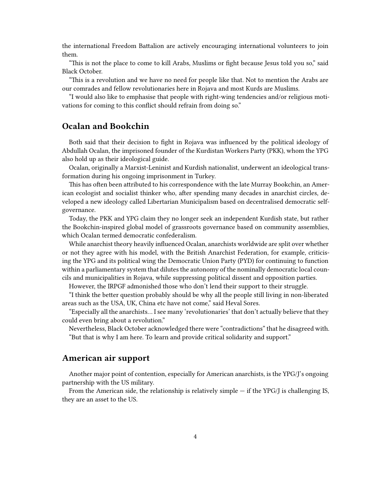the international Freedom Battalion are actively encouraging international volunteers to join them.

"This is not the place to come to kill Arabs, Muslims or fight because Jesus told you so," said Black October.

"This is a revolution and we have no need for people like that. Not to mention the Arabs are our comrades and fellow revolutionaries here in Rojava and most Kurds are Muslims.

"I would also like to emphasise that people with right-wing tendencies and/or religious motivations for coming to this conflict should refrain from doing so."

#### <span id="page-3-0"></span>**Ocalan and Bookchin**

Both said that their decision to fight in Rojava was influenced by the political ideology of Abdullah Ocalan, the imprisoned founder of the Kurdistan Workers Party (PKK), whom the YPG also hold up as their ideological guide.

Ocalan, originally a Marxist-Leninist and Kurdish nationalist, underwent an ideological transformation during his ongoing imprisonment in Turkey.

This has often been attributed to his correspondence with the late Murray Bookchin, an American ecologist and socialist thinker who, after spending many decades in anarchist circles, developed a new ideology called Libertarian Municipalism based on decentralised democratic selfgovernance.

Today, the PKK and YPG claim they no longer seek an independent Kurdish state, but rather the Bookchin-inspired global model of grassroots governance based on community assemblies, which Ocalan termed democratic confederalism.

While anarchist theory heavily influenced Ocalan, anarchists worldwide are split over whether or not they agree with his model, with the British Anarchist Federation, for example, criticising the YPG and its political wing the Democratic Union Party (PYD) for continuing to function within a parliamentary system that dilutes the autonomy of the nominally democratic local councils and municipalities in Rojava, while suppressing political dissent and opposition parties.

However, the IRPGF admonished those who don't lend their support to their struggle.

"I think the better question probably should be why all the people still living in non-liberated areas such as the USA, UK, China etc have not come," said Heval Sores.

"Especially all the anarchists… I see many 'revolutionaries' that don't actually believe that they could even bring about a revolution."

Nevertheless, Black October acknowledged there were "contradictions" that he disagreed with. "But that is why I am here. To learn and provide critical solidarity and support."

#### <span id="page-3-1"></span>**American air support**

Another major point of contention, especially for American anarchists, is the YPG/J's ongoing partnership with the US military.

From the American side, the relationship is relatively simple — if the YPG/J is challenging IS, they are an asset to the US.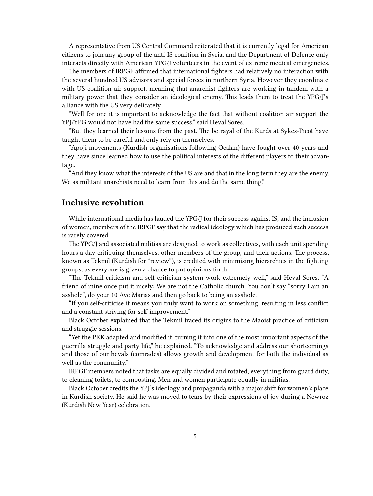A representative from US Central Command reiterated that it is currently legal for American citizens to join any group of the anti-IS coalition in Syria, and the Department of Defence only interacts directly with American YPG/J volunteers in the event of extreme medical emergencies.

The members of IRPGF affirmed that international fighters had relatively no interaction with the several hundred US advisors and special forces in northern Syria. However they coordinate with US coalition air support, meaning that anarchist fighters are working in tandem with a military power that they consider an ideological enemy. This leads them to treat the YPG/J's alliance with the US very delicately.

"Well for one it is important to acknowledge the fact that without coalition air support the YPJ/YPG would not have had the same success," said Heval Sores.

"But they learned their lessons from the past. The betrayal of the Kurds at Sykes-Picot have taught them to be careful and only rely on themselves.

"Apoji movements (Kurdish organisations following Ocalan) have fought over 40 years and they have since learned how to use the political interests of the different players to their advantage.

"And they know what the interests of the US are and that in the long term they are the enemy. We as militant anarchists need to learn from this and do the same thing."

#### <span id="page-4-0"></span>**Inclusive revolution**

While international media has lauded the YPG/J for their success against IS, and the inclusion of women, members of the IRPGF say that the radical ideology which has produced such success is rarely covered.

The YPG/J and associated militias are designed to work as collectives, with each unit spending hours a day critiquing themselves, other members of the group, and their actions. The process, known as Tekmil (Kurdish for "review"), is credited with minimising hierarchies in the fighting groups, as everyone is given a chance to put opinions forth.

"The Tekmil criticism and self-criticism system work extremely well," said Heval Sores. "A friend of mine once put it nicely: We are not the Catholic church. You don't say "sorry I am an asshole", do your 10 Ave Marias and then go back to being an asshole.

"If you self-criticise it means you truly want to work on something, resulting in less conflict and a constant striving for self-improvement."

Black October explained that the Tekmil traced its origins to the Maoist practice of criticism and struggle sessions.

"Yet the PKK adapted and modified it, turning it into one of the most important aspects of the guerrilla struggle and party life," he explained. "To acknowledge and address our shortcomings and those of our hevals (comrades) allows growth and development for both the individual as well as the community."

IRPGF members noted that tasks are equally divided and rotated, everything from guard duty, to cleaning toilets, to composting. Men and women participate equally in militias.

Black October credits the YPJ's ideology and propaganda with a major shift for women's place in Kurdish society. He said he was moved to tears by their expressions of joy during a Newroz (Kurdish New Year) celebration.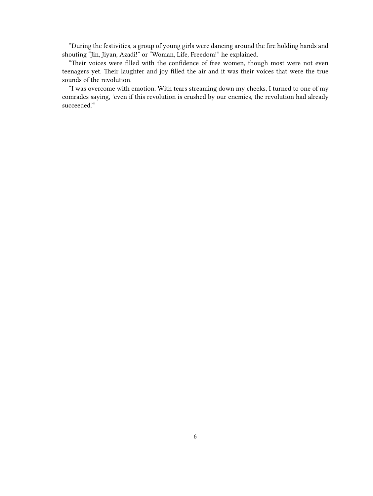"During the festivities, a group of young girls were dancing around the fire holding hands and shouting "Jin, Jiyan, Azadi!" or "Woman, Life, Freedom!" he explained.

"Their voices were filled with the confidence of free women, though most were not even teenagers yet. Their laughter and joy filled the air and it was their voices that were the true sounds of the revolution.

"I was overcome with emotion. With tears streaming down my cheeks, I turned to one of my comrades saying, 'even if this revolution is crushed by our enemies, the revolution had already succeeded.'"